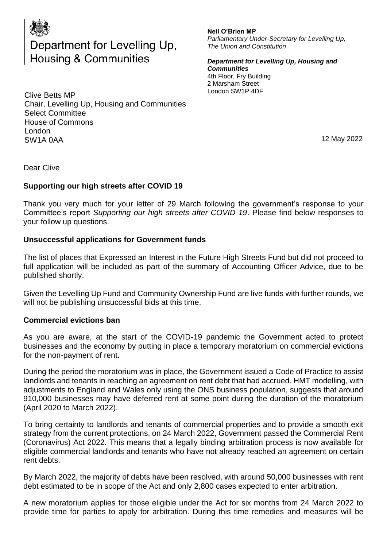

# Department for Levelling Up, **Housing & Communities**

Clive Betts MP Chair, Levelling Up, Housing and Communities Select Committee House of Commons London SW1A 0AA

#### **Neil O'Brien MP**

*Parliamentary Under-Secretary for Levelling Up, The Union and Constitution* 

*Department for Levelling Up, Housing and Communities*  4th Floor, Fry Building 2 Marsham Street London SW1P 4DF

12 May 2022

Dear Clive

# **Supporting our high streets after COVID 19**

Thank you very much for your letter of 29 March following the government's response to your Committee's report *Supporting our high streets after COVID 19*. Please find below responses to your follow up questions.

### **Unsuccessful applications for Government funds**

The list of places that Expressed an Interest in the Future High Streets Fund but did not proceed to full application will be included as part of the summary of Accounting Officer Advice, due to be published shortly.

Given the Levelling Up Fund and Community Ownership Fund are live funds with further rounds, we will not be publishing unsuccessful bids at this time.

#### **Commercial evictions ban**

As you are aware, at the start of the COVID-19 pandemic the Government acted to protect businesses and the economy by putting in place a temporary moratorium on commercial evictions for the non-payment of rent.

During the period the moratorium was in place, the Government issued a Code of Practice to assist landlords and tenants in reaching an agreement on rent debt that had accrued. HMT modelling, with adjustments to England and Wales only using the ONS business population, suggests that around 910,000 businesses may have deferred rent at some point during the duration of the moratorium (April 2020 to March 2022).

To bring certainty to landlords and tenants of commercial properties and to provide a smooth exit strategy from the current protections, on 24 March 2022, Government passed the Commercial Rent (Coronavirus) Act 2022. This means that a legally binding arbitration process is now available for eligible commercial landlords and tenants who have not already reached an agreement on certain rent debts.

By March 2022, the majority of debts have been resolved, with around 50,000 businesses with rent debt estimated to be in scope of the Act and only 2,800 cases expected to enter arbitration.

A new moratorium applies for those eligible under the Act for six months from 24 March 2022 to provide time for parties to apply for arbitration. During this time remedies and measures will be